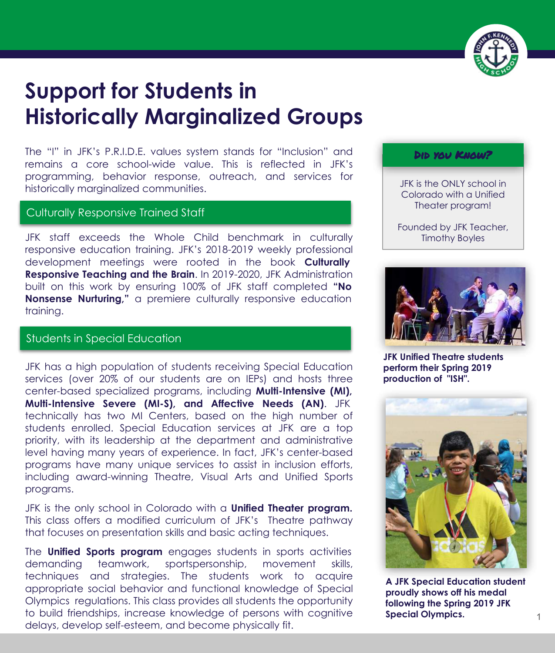

# **Support for Students in Historically Marginalized Groups**

The "I" in JFK's P.R.I.D.E. values system stands for "Inclusion" and remains a core school-wide value. This is reflected in JFK's programming, behavior response, outreach, and services for historically marginalized communities.

## Culturally Responsive Trained Staff

JFK staff exceeds the Whole Child benchmark in culturally responsive education training. JFK's 2018-2019 weekly professional development meetings were rooted in the book **Culturally Responsive Teaching and the Brain**. In 2019-2020, JFK Administration built on this work by ensuring 100% of JFK staff completed **"No Nonsense Nurturing,"** a premiere culturally responsive education training.

## Students in Special Education

JFK has a high population of students receiving Special Education services (over 20% of our students are on IEPs) and hosts three center-based specialized programs, including **Multi-Intensive (MI), Multi-Intensive Severe (MI-S), and Affective Needs (AN)**. JFK technically has two MI Centers, based on the high number of students enrolled. Special Education services at JFK are a top priority, with its leadership at the department and administrative level having many years of experience. In fact, JFK's center-based programs have many unique services to assist in inclusion efforts, including award-winning Theatre, Visual Arts and Unified Sports programs.

JFK is the only school in Colorado with a **Unified Theater program.**  This class offers a modified curriculum of JFK's Theatre pathway that focuses on presentation skills and basic acting techniques.

The **Unified Sports program** engages students in sports activities demanding teamwork, sportspersonship, movement skills, techniques and strategies. The students work to acquire appropriate social behavior and functional knowledge of Special Olympics regulations. This class provides all students the opportunity to build friendships, increase knowledge of persons with cognitive delays, develop self-esteem, and become physically fit.

#### Did you Know?

JFK is the ONLY school in Colorado with a Unified Theater program!

Founded by JFK Teacher, Timothy Boyles



**JFK Unified Theatre students perform their Spring 2019 production of "ISH".** 



**A JFK Special Education student proudly shows off his medal following the Spring 2019 JFK Special Olympics.**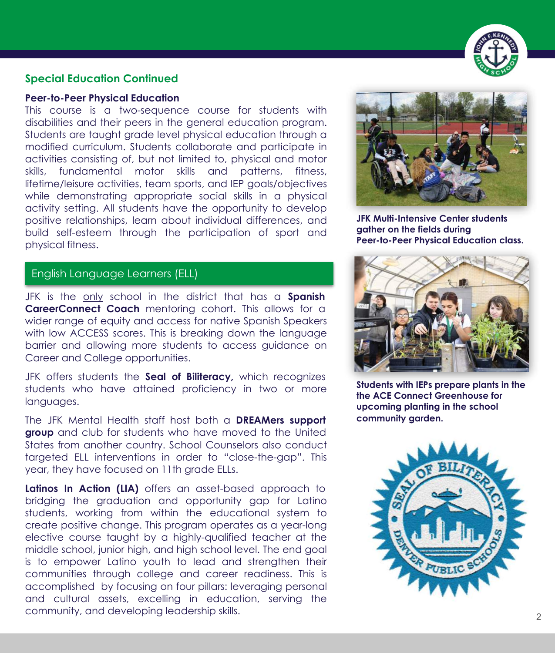

#### **Special Education Continued**

#### **Peer-to-Peer Physical Education**

This course is a two-sequence course for students with disabilities and their peers in the general education program. Students are taught grade level physical education through a modified curriculum. Students collaborate and participate in activities consisting of, but not limited to, physical and motor skills, fundamental motor skills and patterns, fitness, lifetime/leisure activities, team sports, and IEP goals/objectives while demonstrating appropriate social skills in a physical activity setting. All students have the opportunity to develop positive relationships, learn about individual differences, and build self-esteem through the participation of sport and physical fitness.

# English Language Learners (ELL)

JFK is the only school in the district that has a **Spanish CareerConnect Coach** mentoring cohort. This allows for a wider range of equity and access for native Spanish Speakers with low ACCESS scores. This is breaking down the language barrier and allowing more students to access guidance on Career and College opportunities.

JFK offers students the **Seal of Biliteracy,** which recognizes students who have attained proficiency in two or more languages.

The JFK Mental Health staff host both a **DREAMers support group** and club for students who have moved to the United States from another country. School Counselors also conduct targeted ELL interventions in order to "close-the-gap". This year, they have focused on 11th grade ELLs.

Latinos In Action (LIA) offers an asset-based approach to bridging the graduation and opportunity gap for Latino students, working from within the educational system to create positive change. This program operates as a year-long elective course taught by a highly-qualified teacher at the middle school, junior high, and high school level. The end goal is to empower Latino youth to lead and strengthen their communities through college and career readiness. This is accomplished by focusing on four pillars: leveraging personal and cultural assets, excelling in education, serving the community, and developing leadership skills. <sup>2</sup>



**JFK Multi-Intensive Center students gather on the fields during Peer-to-Peer Physical Education class.** 



**Students with IEPs prepare plants in the the ACE Connect Greenhouse for upcoming planting in the school community garden.**